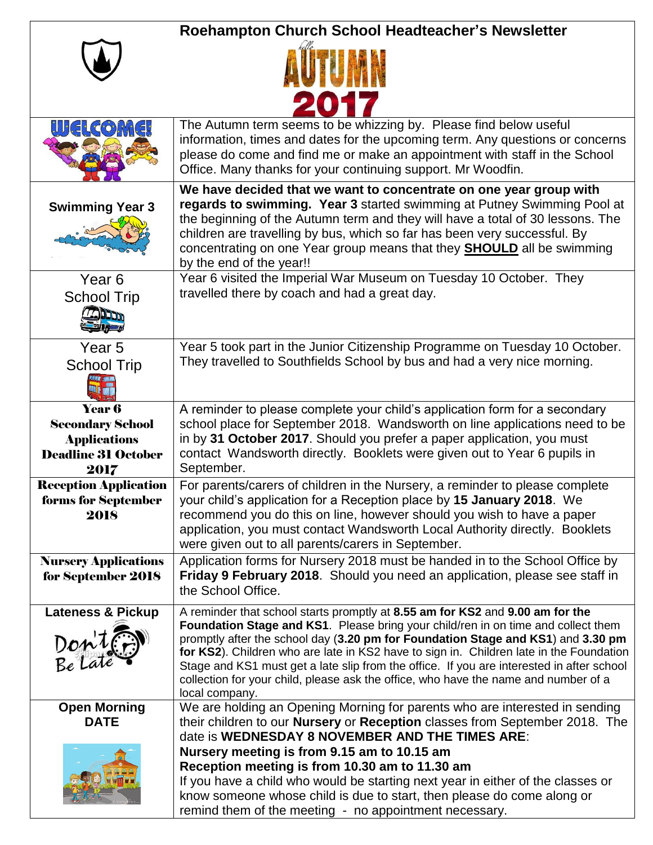|                                                                                                | Roehampton Church School Headteacher's Newsletter                                                                                                                                                                                                                                                                                                                                                                                                                                                                                                       |
|------------------------------------------------------------------------------------------------|---------------------------------------------------------------------------------------------------------------------------------------------------------------------------------------------------------------------------------------------------------------------------------------------------------------------------------------------------------------------------------------------------------------------------------------------------------------------------------------------------------------------------------------------------------|
|                                                                                                |                                                                                                                                                                                                                                                                                                                                                                                                                                                                                                                                                         |
|                                                                                                |                                                                                                                                                                                                                                                                                                                                                                                                                                                                                                                                                         |
| illi(al(co)M(a                                                                                 | The Autumn term seems to be whizzing by. Please find below useful<br>information, times and dates for the upcoming term. Any questions or concerns<br>please do come and find me or make an appointment with staff in the School<br>Office. Many thanks for your continuing support. Mr Woodfin.                                                                                                                                                                                                                                                        |
| <b>Swimming Year 3</b>                                                                         | We have decided that we want to concentrate on one year group with<br>regards to swimming. Year 3 started swimming at Putney Swimming Pool at<br>the beginning of the Autumn term and they will have a total of 30 lessons. The<br>children are travelling by bus, which so far has been very successful. By<br>concentrating on one Year group means that they <b>SHOULD</b> all be swimming<br>by the end of the year!!                                                                                                                               |
| Year <sub>6</sub><br><b>School Trip</b><br><b>MOCKET N</b>                                     | Year 6 visited the Imperial War Museum on Tuesday 10 October. They<br>travelled there by coach and had a great day.                                                                                                                                                                                                                                                                                                                                                                                                                                     |
| Year <sub>5</sub><br><b>School Trip</b>                                                        | Year 5 took part in the Junior Citizenship Programme on Tuesday 10 October.<br>They travelled to Southfields School by bus and had a very nice morning.                                                                                                                                                                                                                                                                                                                                                                                                 |
| Year 6<br><b>Secondary School</b><br><b>Applications</b><br><b>Deadline 31 October</b><br>2017 | A reminder to please complete your child's application form for a secondary<br>school place for September 2018. Wandsworth on line applications need to be<br>in by 31 October 2017. Should you prefer a paper application, you must<br>contact Wandsworth directly. Booklets were given out to Year 6 pupils in<br>September.                                                                                                                                                                                                                          |
| <b>Reception Application</b><br>forms for September<br>2018                                    | For parents/carers of children in the Nursery, a reminder to please complete<br>your child's application for a Reception place by 15 January 2018. We<br>recommend you do this on line, however should you wish to have a paper<br>application, you must contact Wandsworth Local Authority directly. Booklets<br>were given out to all parents/carers in September.                                                                                                                                                                                    |
| <b>Nursery Applications</b><br>for September 2018                                              | Application forms for Nursery 2018 must be handed in to the School Office by<br>Friday 9 February 2018. Should you need an application, please see staff in<br>the School Office.                                                                                                                                                                                                                                                                                                                                                                       |
| <b>Lateness &amp; Pickup</b><br>Don'ter                                                        | A reminder that school starts promptly at 8.55 am for KS2 and 9.00 am for the<br>Foundation Stage and KS1. Please bring your child/ren in on time and collect them<br>promptly after the school day (3.20 pm for Foundation Stage and KS1) and 3.30 pm<br>for KS2). Children who are late in KS2 have to sign in. Children late in the Foundation<br>Stage and KS1 must get a late slip from the office. If you are interested in after school<br>collection for your child, please ask the office, who have the name and number of a<br>local company. |
| <b>Open Morning</b><br><b>DATE</b>                                                             | We are holding an Opening Morning for parents who are interested in sending<br>their children to our <b>Nursery</b> or Reception classes from September 2018. The<br>date is WEDNESDAY 8 NOVEMBER AND THE TIMES ARE:                                                                                                                                                                                                                                                                                                                                    |
|                                                                                                | Nursery meeting is from 9.15 am to 10.15 am<br>Reception meeting is from 10.30 am to 11.30 am<br>If you have a child who would be starting next year in either of the classes or<br>know someone whose child is due to start, then please do come along or<br>remind them of the meeting - no appointment necessary.                                                                                                                                                                                                                                    |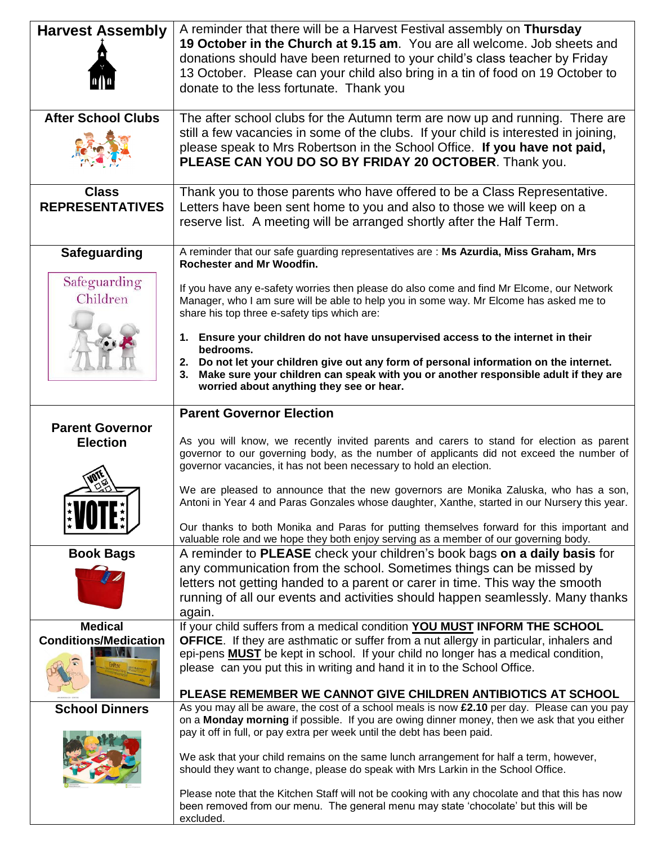| <b>Harvest Assembly</b>                        | A reminder that there will be a Harvest Festival assembly on Thursday<br>19 October in the Church at 9.15 am. You are all welcome. Job sheets and<br>donations should have been returned to your child's class teacher by Friday<br>13 October. Please can your child also bring in a tin of food on 19 October to<br>donate to the less fortunate. Thank you                                                                                                                                                                                   |
|------------------------------------------------|-------------------------------------------------------------------------------------------------------------------------------------------------------------------------------------------------------------------------------------------------------------------------------------------------------------------------------------------------------------------------------------------------------------------------------------------------------------------------------------------------------------------------------------------------|
| <b>After School Clubs</b>                      | The after school clubs for the Autumn term are now up and running. There are<br>still a few vacancies in some of the clubs. If your child is interested in joining,<br>please speak to Mrs Robertson in the School Office. If you have not paid,<br>PLEASE CAN YOU DO SO BY FRIDAY 20 OCTOBER. Thank you.                                                                                                                                                                                                                                       |
| <b>Class</b><br><b>REPRESENTATIVES</b>         | Thank you to those parents who have offered to be a Class Representative.<br>Letters have been sent home to you and also to those we will keep on a<br>reserve list. A meeting will be arranged shortly after the Half Term.                                                                                                                                                                                                                                                                                                                    |
| <b>Safeguarding</b>                            | A reminder that our safe guarding representatives are : Ms Azurdia, Miss Graham, Mrs<br>Rochester and Mr Woodfin.                                                                                                                                                                                                                                                                                                                                                                                                                               |
| Safeguarding<br>Children                       | If you have any e-safety worries then please do also come and find Mr Elcome, our Network<br>Manager, who I am sure will be able to help you in some way. Mr Elcome has asked me to<br>share his top three e-safety tips which are:                                                                                                                                                                                                                                                                                                             |
|                                                | Ensure your children do not have unsupervised access to the internet in their<br>1.<br>bedrooms.<br>2. Do not let your children give out any form of personal information on the internet.<br>Make sure your children can speak with you or another responsible adult if they are<br>3.<br>worried about anything they see or hear.                                                                                                                                                                                                             |
| <b>Parent Governor</b>                         | <b>Parent Governor Election</b>                                                                                                                                                                                                                                                                                                                                                                                                                                                                                                                 |
| <b>Election</b>                                | As you will know, we recently invited parents and carers to stand for election as parent<br>governor to our governing body, as the number of applicants did not exceed the number of                                                                                                                                                                                                                                                                                                                                                            |
|                                                | governor vacancies, it has not been necessary to hold an election.                                                                                                                                                                                                                                                                                                                                                                                                                                                                              |
|                                                | We are pleased to announce that the new governors are Monika Zaluska, who has a son,<br>Antoni in Year 4 and Paras Gonzales whose daughter, Xanthe, started in our Nursery this year.<br>Our thanks to both Monika and Paras for putting themselves forward for this important and<br>valuable role and we hope they both enjoy serving as a member of our governing body.                                                                                                                                                                      |
| <b>Book Bags</b>                               | A reminder to PLEASE check your children's book bags on a daily basis for                                                                                                                                                                                                                                                                                                                                                                                                                                                                       |
|                                                | any communication from the school. Sometimes things can be missed by<br>letters not getting handed to a parent or carer in time. This way the smooth<br>running of all our events and activities should happen seamlessly. Many thanks<br>again.                                                                                                                                                                                                                                                                                                |
| <b>Medical</b><br><b>Conditions/Medication</b> | If your child suffers from a medical condition YOU MUST INFORM THE SCHOOL<br><b>OFFICE.</b> If they are asthmatic or suffer from a nut allergy in particular, inhalers and                                                                                                                                                                                                                                                                                                                                                                      |
|                                                | epi-pens <b>MUST</b> be kept in school. If your child no longer has a medical condition,<br>please can you put this in writing and hand it in to the School Office.<br>PLEASE REMEMBER WE CANNOT GIVE CHILDREN ANTIBIOTICS AT SCHOOL                                                                                                                                                                                                                                                                                                            |
| <b>School Dinners</b>                          | As you may all be aware, the cost of a school meals is now $£2.10$ per day. Please can you pay                                                                                                                                                                                                                                                                                                                                                                                                                                                  |
|                                                | on a Monday morning if possible. If you are owing dinner money, then we ask that you either<br>pay it off in full, or pay extra per week until the debt has been paid.<br>We ask that your child remains on the same lunch arrangement for half a term, however,<br>should they want to change, please do speak with Mrs Larkin in the School Office.<br>Please note that the Kitchen Staff will not be cooking with any chocolate and that this has now<br>been removed from our menu. The general menu may state 'chocolate' but this will be |
|                                                | excluded.                                                                                                                                                                                                                                                                                                                                                                                                                                                                                                                                       |

 $\overline{\phantom{a}}$